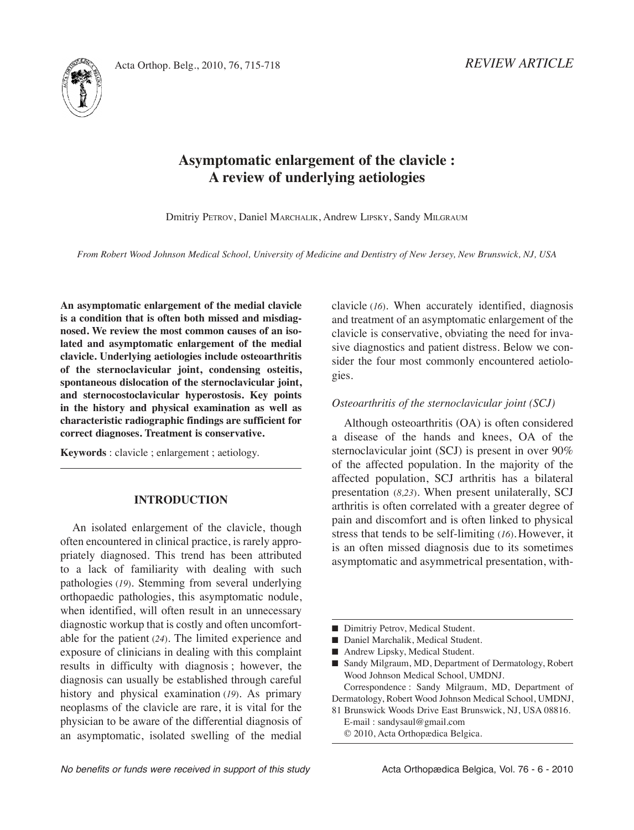*REVIEW ARTICLE*



# **Asymptomatic enlargement of the clavicle : A review of underlying aetiologies**

Dmitriy PEtROv, Daniel MARChALik, Andrew LiPSky, Sandy MiLgRAUM

From Robert Wood Johnson Medical School, University of Medicine and Dentistry of New Jersey, New Brunswick, NJ, USA

**An asymptomatic enlargement of the medial clavicle is a condition that is often both missed and misdiagnosed. We review the most common causes of an isolated and asymptomatic enlargement of the medial clavicle. Underlying aetiologies include osteoarthritis of the sternoclavicular joint, condensing osteitis, spontaneous dislocation of the sternoclavicular joint, and sternocostoclavicular hyperostosis. Key points in the history and physical examination as well as characteristic radiographic findings are sufficient for correct diagnoses. Treatment is conservative.**

**Keywords** : clavicle ; enlargement ; aetiology.

# **INTRODUCTION**

An isolated enlargement of the clavicle, though often encountered in clinical practice, is rarely appropriately diagnosed. This trend has been attributed to a lack of familiarity with dealing with such pathologies (*19*). Stemming from several underlying orthopaedic pathologies, this asymptomatic nodule, when identified, will often result in an unnecessary diagnostic workup that is costly and often uncomfortable for the patient (24). The limited experience and exposure of clinicians in dealing with this complaint results in difficulty with diagnosis ; however, the diagnosis can usually be established through careful history and physical examination (*19*). As primary neoplasms of the clavicle are rare, it is vital for the physician to be aware of the differential diagnosis of an asymptomatic, isolated swelling of the medial clavicle (*16*). When accurately identified, diagnosis and treatment of an asymptomatic enlargement of the clavicle is conservative, obviating the need for invasive diagnostics and patient distress. Below we consider the four most commonly encountered aetiologies.

#### *Osteoarthritis of the sternoclavicular joint (SCJ)*

Although osteoarthritis (OA) is often considered a disease of the hands and knees, OA of the sternoclavicular joint (SCJ) is present in over 90% of the affected population. in the majority of the affected population, SCJ arthritis has a bilateral presentation (*8,23*). When present unilaterally, SCJ arthritis is often correlated with a greater degree of pain and discomfort and is often linked to physical stress that tends to be self-limiting (16). However, it is an often missed diagnosis due to its sometimes asymptomatic and asymmetrical presentation, with-

- Dimitriy Petrov, Medical Student.
- Daniel Marchalik, Medical Student.
- Andrew Lipsky, Medical Student.

■ Sandy Milgraum, MD, Department of Dermatology, Robert Wood Johnson Medical School, UMDNJ.

Correspondence : Sandy Milgraum, MD, Department of Dermatology, Robert Wood Johnson Medical School, UMDNJ,

81 Brunswick Woods Drive East Brunswick, NJ, USA 08816. E-mail : sandysaul@gmail.com

© 2010, Acta Orthopædica Belgica.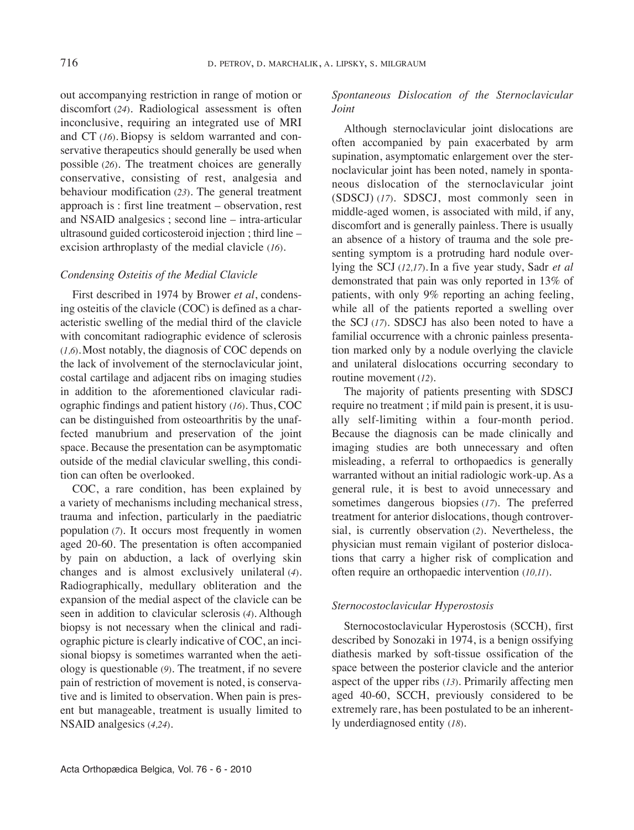out accompanying restriction in range of motion or discomfort (*24*). Radiological assessment is often inconclusive, requiring an integrated use of MRi and  $CT(16)$ . Biopsy is seldom warranted and conservative therapeutics should generally be used when possible (26). The treatment choices are generally conservative, consisting of rest, analgesia and behaviour modification (23). The general treatment approach is : first line treatment – observation, rest and NSAiD analgesics ; second line – intra-articular ultrasound guided corticosteroid injection ; third line – excision arthroplasty of the medial clavicle (*16*).

### *Condensing Osteitis of the Medial Clavicle*

First described in 1974 by Brower *et al*, condensing osteitis of the clavicle (COC) is defined as a characteristic swelling of the medial third of the clavicle with concomitant radiographic evidence of sclerosis (*1,6*).Most notably, the diagnosis of COC depends on the lack of involvement of the sternoclavicular joint, costal cartilage and adjacent ribs on imaging studies in addition to the aforementioned clavicular radiographic findings and patient history (16). Thus, COC can be distinguished from osteoarthritis by the unaffected manubrium and preservation of the joint space. Because the presentation can be asymptomatic outside of the medial clavicular swelling, this condition can often be overlooked.

COC, a rare condition, has been explained by a variety of mechanisms including mechanical stress, trauma and infection, particularly in the paediatric population (*7*). it occurs most frequently in women aged 20-60. The presentation is often accompanied by pain on abduction, a lack of overlying skin changes and is almost exclusively unilateral (*4*). Radiographically, medullary obliteration and the expansion of the medial aspect of the clavicle can be seen in addition to clavicular sclerosis (*4*). Although biopsy is not necessary when the clinical and radiographic picture is clearly indicative of COC, an incisional biopsy is sometimes warranted when the aetiology is questionable (9). The treatment, if no severe pain of restriction of movement is noted, is conservative and is limited to observation. When pain is present but manageable, treatment is usually limited to NSAiD analgesics (*4,24*).

## *Spontaneous Dislocation of the Sternoclavicular Joint*

Although sternoclavicular joint dislocations are often accompanied by pain exacerbated by arm supination, asymptomatic enlargement over the sternoclavicular joint has been noted, namely in spontaneous dislocation of the sternoclavicular joint (SDSCJ) (*17*). SDSCJ, most commonly seen in middle-aged women, is associated with mild, if any, discomfort and is generally painless. There is usually an absence of a history of trauma and the sole presenting symptom is a protruding hard nodule overlying the SCJ (*12,17*). in a five year study, Sadr *et al* demonstrated that pain was only reported in 13% of patients, with only 9% reporting an aching feeling, while all of the patients reported a swelling over the SCJ (*17*). SDSCJ has also been noted to have a familial occurrence with a chronic painless presentation marked only by a nodule overlying the clavicle and unilateral dislocations occurring secondary to routine movement (*12*).

The majority of patients presenting with SDSCJ require no treatment ; if mild pain is present, it is usually self-limiting within a four-month period. Because the diagnosis can be made clinically and imaging studies are both unnecessary and often misleading, a referral to orthopaedics is generally warranted without an initial radiologic work-up. As a general rule, it is best to avoid unnecessary and sometimes dangerous biopsies (17). The preferred treatment for anterior dislocations, though controversial, is currently observation (*2*). Nevertheless, the physician must remain vigilant of posterior dislocations that carry a higher risk of complication and often require an orthopaedic intervention (*10,11*).

### *Sternocostoclavicular Hyperostosis*

Sternocostoclavicular Hyperostosis (SCCH), first described by Sonozaki in 1974, is a benign ossifying diathesis marked by soft-tissue ossification of the space between the posterior clavicle and the anterior aspect of the upper ribs (*13*). Primarily affecting men aged 40-60, SCCH, previously considered to be extremely rare, has been postulated to be an inherently underdiagnosed entity (*18*).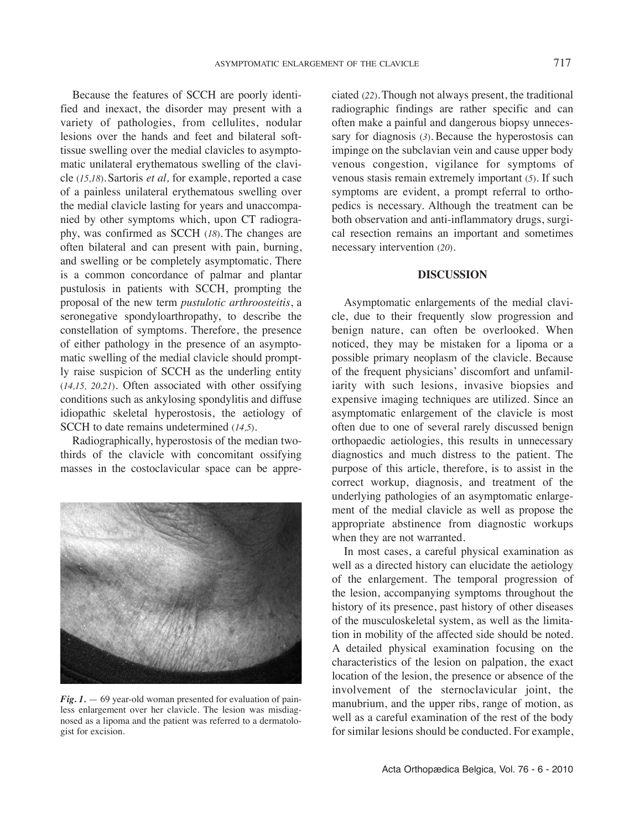Because the features of SCCH are poorly identified and inexact, the disorder may present with a variety of pathologies, from cellulites, nodular lesions over the hands and feet and bilateral softtissue swelling over the medial clavicles to asymptomatic unilateral erythematous swelling of the clavicle (*15,18*).Sartoris *et al,* for example, reported a case of a painless unilateral erythematous swelling over the medial clavicle lasting for years and unaccompanied by other symptoms which, upon CT radiography, was confirmed as SCCH (*18*). The changes are often bilateral and can present with pain, burning, and swelling or be completely asymptomatic. There is a common concordance of palmar and plantar pustulosis in patients with SCCH, prompting the proposal of the new term *pustulotic arthroosteitis*, a seronegative spondyloarthropathy, to describe the constellation of symptoms. Therefore, the presence of either pathology in the presence of an asymptomatic swelling of the medial clavicle should promptly raise suspicion of SCCH as the underling entity (*14,15, 20,21*). Often associated with other ossifying conditions such as ankylosing spondylitis and diffuse idiopathic skeletal hyperostosis, the aetiology of SCCH to date remains undetermined (14.5).

Radiographically, hyperostosis of the median twothirds of the clavicle with concomitant ossifying masses in the costoclavicular space can be appre-



*Fig. 1.* — 69 year-old woman presented for evaluation of painless enlargement over her clavicle. The lesion was misdiagnosed as a lipoma and the patient was referred to a dermatologist for excision.

ciated (22). Though not always present, the traditional radiographic findings are rather specific and can often make a painful and dangerous biopsy unnecessary for diagnosis (*3*). Because the hyperostosis can impinge on the subclavian vein and cause upper body venous congestion, vigilance for symptoms of venous stasis remain extremely important (5). If such symptoms are evident, a prompt referral to orthopedics is necessary. Although the treatment can be both observation and anti-inflammatory drugs, surgical resection remains an important and sometimes necessary intervention (*20*).

#### **DISCUSSION**

Asymptomatic enlargements of the medial clavicle, due to their frequently slow progression and benign nature, can often be overlooked. When noticed, they may be mistaken for a lipoma or a possible primary neoplasm of the clavicle. Because of the frequent physicians' discomfort and unfamiliarity with such lesions, invasive biopsies and expensive imaging techniques are utilized. Since an asymptomatic enlargement of the clavicle is most often due to one of several rarely discussed benign orthopaedic aetiologies, this results in unnecessary diagnostics and much distress to the patient. The purpose of this article, therefore, is to assist in the correct workup, diagnosis, and treatment of the underlying pathologies of an asymptomatic enlargement of the medial clavicle as well as propose the appropriate abstinence from diagnostic workups when they are not warranted.

In most cases, a careful physical examination as well as a directed history can elucidate the aetiology of the enlargement. The temporal progression of the lesion, accompanying symptoms throughout the history of its presence, past history of other diseases of the musculoskeletal system, as well as the limitation in mobility of the affected side should be noted. A detailed physical examination focusing on the characteristics of the lesion on palpation, the exact location of the lesion, the presence or absence of the involvement of the sternoclavicular joint, the manubrium, and the upper ribs, range of motion, as well as a careful examination of the rest of the body for similar lesions should be conducted. For example,